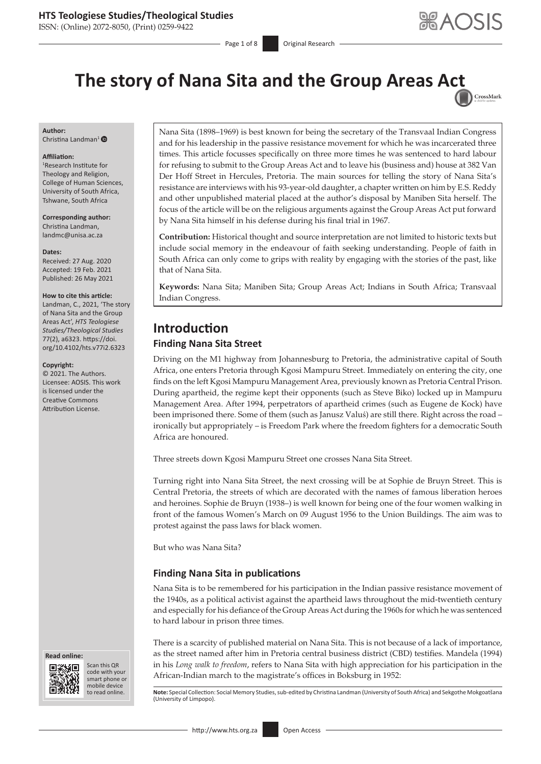ISSN: (Online) 2072-8050, (Print) 0259-9422

Page 1 of 8 Original Research

CrossMark

# **The story of Nana Sita and the Group Areas A[ct](http://crossmark.crossref.org/dialog/?doi=10.4102/hts.v77i2.6323=pdf&date_stamp=2021-05-26)**

**Author:** Christina Landman<sup>[1](https://orcid.org/0000-0002-8905-0738)</sup> $\bullet$ 

#### **Affiliation:**

1 Research Institute for Theology and Religion, College of Human Sciences, University of South Africa, Tshwane, South Africa

**Corresponding author:** Christina Landman, [landmc@unisa.ac.za](mailto:landmc@unisa.ac.za)

#### **Dates:**

Received: 27 Aug. 2020 Accepted: 19 Feb. 2021 Published: 26 May 2021

#### **How to cite this article:**

Landman, C., 2021, 'The story of Nana Sita and the Group Areas Act', *HTS Teologiese Studies/Theological Studies* 77(2), a6323. [https://doi.](https://doi.org/10.4102/hts.v77i2.6323) [org/10.4102/hts.v77i2.6323](https://doi.org/10.4102/hts.v77i2.6323)

#### **Copyright:**

© 2021. The Authors. Licensee: AOSIS. This work is licensed under the Creative Commons Attribution License.

**Read online: Read online:**



Scan this QR code with your Scan this QR<br>code with your<br>smart phone or<br>mobile device mobile device to read online.

Nana Sita (1898–1969) is best known for being the secretary of the Transvaal Indian Congress and for his leadership in the passive resistance movement for which he was incarcerated three times. This article focusses specifically on three more times he was sentenced to hard labour for refusing to submit to the Group Areas Act and to leave his (business and) house at 382 Van Der Hoff Street in Hercules, Pretoria. The main sources for telling the story of Nana Sita's resistance are interviews with his 93-year-old daughter, a chapter written on him by E.S. Reddy and other unpublished material placed at the author's disposal by Maniben Sita herself. The focus of the article will be on the religious arguments against the Group Areas Act put forward by Nana Sita himself in his defense during his final trial in 1967.

**Contribution:** Historical thought and source interpretation are not limited to historic texts but include social memory in the endeavour of faith seeking understanding. People of faith in South Africa can only come to grips with reality by engaging with the stories of the past, like that of Nana Sita.

**Keywords:** Nana Sita; Maniben Sita; Group Areas Act; Indians in South Africa; Transvaal Indian Congress.

# **Introduction Finding Nana Sita Street**

Driving on the M1 highway from Johannesburg to Pretoria, the administrative capital of South Africa, one enters Pretoria through Kgosi Mampuru Street. Immediately on entering the city, one finds on the left Kgosi Mampuru Management Area, previously known as Pretoria Central Prison. During apartheid, the regime kept their opponents (such as Steve Biko) locked up in Mampuru Management Area. After 1994, perpetrators of apartheid crimes (such as Eugene de Kock) have been imprisoned there. Some of them (such as Janusz Valuś) are still there. Right across the road – ironically but appropriately – is Freedom Park where the freedom fighters for a democratic South Africa are honoured.

Three streets down Kgosi Mampuru Street one crosses Nana Sita Street.

Turning right into Nana Sita Street, the next crossing will be at Sophie de Bruyn Street. This is Central Pretoria, the streets of which are decorated with the names of famous liberation heroes and heroines. Sophie de Bruyn (1938–) is well known for being one of the four women walking in front of the famous Women's March on 09 August 1956 to the Union Buildings. The aim was to protest against the pass laws for black women.

But who was Nana Sita?

## **Finding Nana Sita in publications**

Nana Sita is to be remembered for his participation in the Indian passive resistance movement of the 1940s, as a political activist against the apartheid laws throughout the mid-twentieth century and especially for his defiance of the Group Areas Act during the 1960s for which he was sentenced to hard labour in prison three times.

There is a scarcity of published material on Nana Sita. This is not because of a lack of importance, as the street named after him in Pretoria central business district (CBD) testifies. Mandela (1994) in his *Long walk to freedom*, refers to Nana Sita with high appreciation for his participation in the African-Indian march to the magistrate's offices in Boksburg in 1952:

Note: Special Collection: Social Memory Studies, sub-edited by Christina Landman (University of South Africa) and Sekgothe Mokgoatšana (University of Limpopo).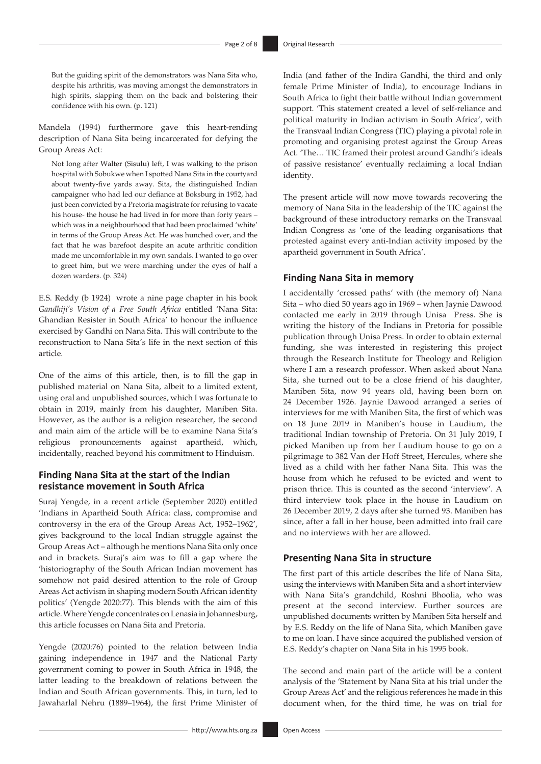But the guiding spirit of the demonstrators was Nana Sita who, despite his arthritis, was moving amongst the demonstrators in high spirits, slapping them on the back and bolstering their confidence with his own. (p. 121)

Mandela (1994) furthermore gave this heart-rending description of Nana Sita being incarcerated for defying the Group Areas Act:

Not long after Walter (Sisulu) left, I was walking to the prison hospital with Sobukwe when I spotted Nana Sita in the courtyard about twenty-five yards away. Sita, the distinguished Indian campaigner who had led our defiance at Boksburg in 1952, had just been convicted by a Pretoria magistrate for refusing to vacate his house- the house he had lived in for more than forty years – which was in a neighbourhood that had been proclaimed 'white' in terms of the Group Areas Act. He was hunched over, and the fact that he was barefoot despite an acute arthritic condition made me uncomfortable in my own sandals. I wanted to go over to greet him, but we were marching under the eyes of half a dozen warders. (p. 324)

E.S. Reddy (b 1924) wrote a nine page chapter in his book *Gandhiji's Vision of a Free South Africa* entitled 'Nana Sita: Ghandian Resister in South Africa' to honour the influence exercised by Gandhi on Nana Sita. This will contribute to the reconstruction to Nana Sita's life in the next section of this article.

One of the aims of this article, then, is to fill the gap in published material on Nana Sita, albeit to a limited extent, using oral and unpublished sources, which I was fortunate to obtain in 2019, mainly from his daughter, Maniben Sita. However, as the author is a religion researcher, the second and main aim of the article will be to examine Nana Sita's religious pronouncements against apartheid, which, incidentally, reached beyond his commitment to Hinduism.

#### **Finding Nana Sita at the start of the Indian resistance movement in South Africa**

Suraj Yengde, in a recent article (September 2020) entitled 'Indians in Apartheid South Africa: class, compromise and controversy in the era of the Group Areas Act, 1952–1962', gives background to the local Indian struggle against the Group Areas Act – although he mentions Nana Sita only once and in brackets. Suraj's aim was to fill a gap where the 'historiography of the South African Indian movement has somehow not paid desired attention to the role of Group Areas Act activism in shaping modern South African identity politics' (Yengde 2020:77). This blends with the aim of this article. Where Yengde concentrates on Lenasia in Johannesburg, this article focusses on Nana Sita and Pretoria.

Yengde (2020:76) pointed to the relation between India gaining independence in 1947 and the National Party government coming to power in South Africa in 1948, the latter leading to the breakdown of relations between the Indian and South African governments. This, in turn, led to Jawaharlal Nehru (1889–1964), the first Prime Minister of India (and father of the Indira Gandhi, the third and only female Prime Minister of India), to encourage Indians in South Africa to fight their battle without Indian government support. 'This statement created a level of self-reliance and political maturity in Indian activism in South Africa', with the Transvaal Indian Congress (TIC) playing a pivotal role in promoting and organising protest against the Group Areas Act. 'The… TIC framed their protest around Gandhi's ideals of passive resistance' eventually reclaiming a local Indian identity.

The present article will now move towards recovering the memory of Nana Sita in the leadership of the TIC against the background of these introductory remarks on the Transvaal Indian Congress as 'one of the leading organisations that protested against every anti-Indian activity imposed by the apartheid government in South Africa'.

#### **Finding Nana Sita in memory**

I accidentally 'crossed paths' with (the memory of) Nana Sita – who died 50 years ago in 1969 – when Jaynie Dawood contacted me early in 2019 through Unisa Press. She is writing the history of the Indians in Pretoria for possible publication through Unisa Press. In order to obtain external funding, she was interested in registering this project through the Research Institute for Theology and Religion where I am a research professor. When asked about Nana Sita, she turned out to be a close friend of his daughter, Maniben Sita, now 94 years old, having been born on 24 December 1926. Jaynie Dawood arranged a series of interviews for me with Maniben Sita, the first of which was on 18 June 2019 in Maniben's house in Laudium, the traditional Indian township of Pretoria. On 31 July 2019, I picked Maniben up from her Laudium house to go on a pilgrimage to 382 Van der Hoff Street, Hercules, where she lived as a child with her father Nana Sita. This was the house from which he refused to be evicted and went to prison thrice. This is counted as the second 'interview'. A third interview took place in the house in Laudium on 26 December 2019, 2 days after she turned 93. Maniben has since, after a fall in her house, been admitted into frail care and no interviews with her are allowed.

#### **Presenting Nana Sita in structure**

The first part of this article describes the life of Nana Sita, using the interviews with Maniben Sita and a short interview with Nana Sita's grandchild, Roshni Bhoolia, who was present at the second interview. Further sources are unpublished documents written by Maniben Sita herself and by E.S. Reddy on the life of Nana Sita, which Maniben gave to me on loan. I have since acquired the published version of E.S. Reddy's chapter on Nana Sita in his 1995 book.

The second and main part of the article will be a content analysis of the 'Statement by Nana Sita at his trial under the Group Areas Act' and the religious references he made in this document when, for the third time, he was on trial for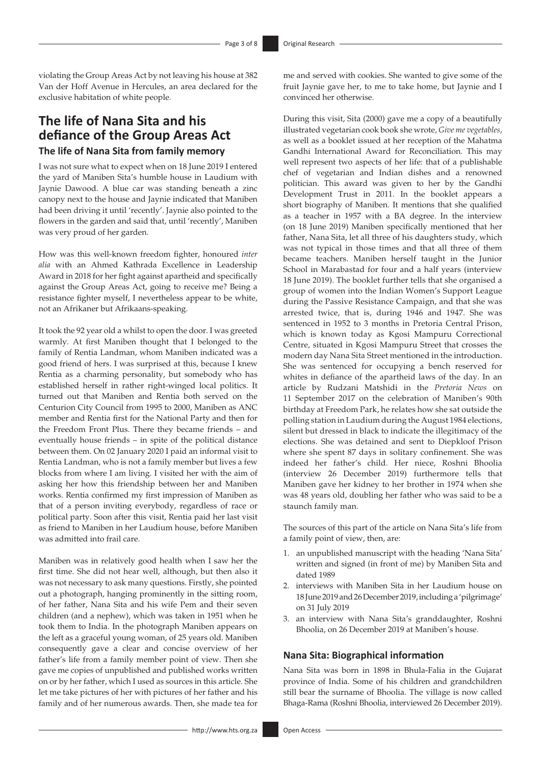violating the Group Areas Act by not leaving his house at 382 Van der Hoff Avenue in Hercules, an area declared for the exclusive habitation of white people.

# **The life of Nana Sita and his defiance of the Group Areas Act The life of Nana Sita from family memory**

I was not sure what to expect when on 18 June 2019 I entered the yard of Maniben Sita's humble house in Laudium with Jaynie Dawood. A blue car was standing beneath a zinc canopy next to the house and Jaynie indicated that Maniben had been driving it until 'recently'. Jaynie also pointed to the flowers in the garden and said that, until 'recently', Maniben was very proud of her garden.

How was this well-known freedom fighter, honoured *inter alia* with an Ahmed Kathrada Excellence in Leadership Award in 2018 for her fight against apartheid and specifically against the Group Areas Act, going to receive me? Being a resistance fighter myself, I nevertheless appear to be white, not an Afrikaner but Afrikaans-speaking.

It took the 92 year old a whilst to open the door. I was greeted warmly. At first Maniben thought that I belonged to the family of Rentia Landman, whom Maniben indicated was a good friend of hers. I was surprised at this, because I knew Rentia as a charming personality, but somebody who has established herself in rather right-winged local politics. It turned out that Maniben and Rentia both served on the Centurion City Council from 1995 to 2000, Maniben as ANC member and Rentia first for the National Party and then for the Freedom Front Plus. There they became friends – and eventually house friends – in spite of the political distance between them. On 02 January 2020 I paid an informal visit to Rentia Landman, who is not a family member but lives a few blocks from where I am living. I visited her with the aim of asking her how this friendship between her and Maniben works. Rentia confirmed my first impression of Maniben as that of a person inviting everybody, regardless of race or political party. Soon after this visit, Rentia paid her last visit as friend to Maniben in her Laudium house, before Maniben was admitted into frail care.

Maniben was in relatively good health when I saw her the first time. She did not hear well, although, but then also it was not necessary to ask many questions. Firstly, she pointed out a photograph, hanging prominently in the sitting room, of her father, Nana Sita and his wife Pem and their seven children (and a nephew), which was taken in 1951 when he took them to India. In the photograph Maniben appears on the left as a graceful young woman, of 25 years old. Maniben consequently gave a clear and concise overview of her father's life from a family member point of view. Then she gave me copies of unpublished and published works written on or by her father, which I used as sources in this article. She let me take pictures of her with pictures of her father and his family and of her numerous awards. Then, she made tea for

me and served with cookies. She wanted to give some of the fruit Jaynie gave her, to me to take home, but Jaynie and I convinced her otherwise.

During this visit, Sita (2000) gave me a copy of a beautifully illustrated vegetarian cook book she wrote, *Give me vegetables*, as well as a booklet issued at her reception of the Mahatma Gandhi International Award for Reconciliation. This may well represent two aspects of her life: that of a publishable chef of vegetarian and Indian dishes and a renowned politician. This award was given to her by the Gandhi Development Trust in 2011. In the booklet appears a short biography of Maniben. It mentions that she qualified as a teacher in 1957 with a BA degree. In the interview (on 18 June 2019) Maniben specifically mentioned that her father, Nana Sita, let all three of his daughters study, which was not typical in those times and that all three of them became teachers. Maniben herself taught in the Junior School in Marabastad for four and a half years (interview 18 June 2019). The booklet further tells that she organised a group of women into the Indian Women's Support League during the Passive Resistance Campaign, and that she was arrested twice, that is, during 1946 and 1947. She was sentenced in 1952 to 3 months in Pretoria Central Prison, which is known today as Kgosi Mampuru Correctional Centre, situated in Kgosi Mampuru Street that crosses the modern day Nana Sita Street mentioned in the introduction. She was sentenced for occupying a bench reserved for whites in defiance of the apartheid laws of the day. In an article by Rudzani Matshidi in the *Pretoria News* on 11 September 2017 on the celebration of Maniben's 90th birthday at Freedom Park, he relates how she sat outside the polling station in Laudium during the August 1984 elections, silent but dressed in black to indicate the illegitimacy of the elections. She was detained and sent to Diepkloof Prison where she spent 87 days in solitary confinement. She was indeed her father's child. Her niece, Roshni Bhoolia (interview 26 December 2019) furthermore tells that Maniben gave her kidney to her brother in 1974 when she was 48 years old, doubling her father who was said to be a staunch family man.

The sources of this part of the article on Nana Sita's life from a family point of view, then, are:

- 1. an unpublished manuscript with the heading 'Nana Sita' written and signed (in front of me) by Maniben Sita and dated 1989
- 2. interviews with Maniben Sita in her Laudium house on 18June 2019 and 26 December 2019, including a 'pilgrimage' on 31 July 2019
- 3. an interview with Nana Sita's granddaughter, Roshni Bhoolia, on 26 December 2019 at Maniben's house.

#### **Nana Sita: Biographical information**

Nana Sita was born in 1898 in Bhula-Falia in the Gujarat province of India. Some of his children and grandchildren still bear the surname of Bhoolia. The village is now called Bhaga-Rama (Roshni Bhoolia, interviewed 26 December 2019).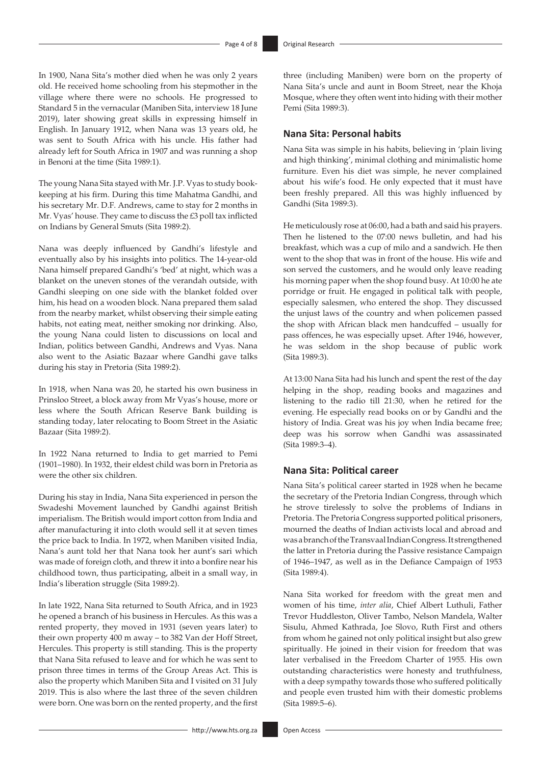In 1900, Nana Sita's mother died when he was only 2 years old. He received home schooling from his stepmother in the village where there were no schools. He progressed to Standard 5 in the vernacular (Maniben Sita, interview 18 June 2019), later showing great skills in expressing himself in English. In January 1912, when Nana was 13 years old, he was sent to South Africa with his uncle. His father had already left for South Africa in 1907 and was running a shop in Benoni at the time (Sita 1989:1).

The young Nana Sita stayed with Mr. J.P. Vyas to study bookkeeping at his firm. During this time Mahatma Gandhi, and his secretary Mr. D.F. Andrews, came to stay for 2 months in Mr. Vyas' house. They came to discuss the £3 poll tax inflicted on Indians by General Smuts (Sita 1989:2).

Nana was deeply influenced by Gandhi's lifestyle and eventually also by his insights into politics. The 14-year-old Nana himself prepared Gandhi's 'bed' at night, which was a blanket on the uneven stones of the verandah outside, with Gandhi sleeping on one side with the blanket folded over him, his head on a wooden block. Nana prepared them salad from the nearby market, whilst observing their simple eating habits, not eating meat, neither smoking nor drinking. Also, the young Nana could listen to discussions on local and Indian, politics between Gandhi, Andrews and Vyas. Nana also went to the Asiatic Bazaar where Gandhi gave talks during his stay in Pretoria (Sita 1989:2).

In 1918, when Nana was 20, he started his own business in Prinsloo Street, a block away from Mr Vyas's house, more or less where the South African Reserve Bank building is standing today, later relocating to Boom Street in the Asiatic Bazaar (Sita 1989:2).

In 1922 Nana returned to India to get married to Pemi (1901–1980). In 1932, their eldest child was born in Pretoria as were the other six children.

During his stay in India, Nana Sita experienced in person the Swadeshi Movement launched by Gandhi against British imperialism. The British would import cotton from India and after manufacturing it into cloth would sell it at seven times the price back to India. In 1972, when Maniben visited India, Nana's aunt told her that Nana took her aunt's sari which was made of foreign cloth, and threw it into a bonfire near his childhood town, thus participating, albeit in a small way, in India's liberation struggle (Sita 1989:2).

In late 1922, Nana Sita returned to South Africa, and in 1923 he opened a branch of his business in Hercules. As this was a rented property, they moved in 1931 (seven years later) to their own property 400 m away – to 382 Van der Hoff Street, Hercules. This property is still standing. This is the property that Nana Sita refused to leave and for which he was sent to prison three times in terms of the Group Areas Act. This is also the property which Maniben Sita and I visited on 31 July 2019. This is also where the last three of the seven children were born. One was born on the rented property, and the first

three (including Maniben) were born on the property of Nana Sita's uncle and aunt in Boom Street, near the Khoja Mosque, where they often went into hiding with their mother Pemi (Sita 1989:3).

## **Nana Sita: Personal habits**

Nana Sita was simple in his habits, believing in 'plain living and high thinking', minimal clothing and minimalistic home furniture. Even his diet was simple, he never complained about his wife's food. He only expected that it must have been freshly prepared. All this was highly influenced by Gandhi (Sita 1989:3).

He meticulously rose at 06:00, had a bath and said his prayers. Then he listened to the 07:00 news bulletin, and had his breakfast, which was a cup of milo and a sandwich. He then went to the shop that was in front of the house. His wife and son served the customers, and he would only leave reading his morning paper when the shop found busy. At 10:00 he ate porridge or fruit. He engaged in political talk with people, especially salesmen, who entered the shop. They discussed the unjust laws of the country and when policemen passed the shop with African black men handcuffed – usually for pass offences, he was especially upset. After 1946, however, he was seldom in the shop because of public work (Sita 1989:3).

At 13:00 Nana Sita had his lunch and spent the rest of the day helping in the shop, reading books and magazines and listening to the radio till 21:30, when he retired for the evening. He especially read books on or by Gandhi and the history of India. Great was his joy when India became free; deep was his sorrow when Gandhi was assassinated (Sita 1989:3–4).

#### **Nana Sita: Political career**

Nana Sita's political career started in 1928 when he became the secretary of the Pretoria Indian Congress, through which he strove tirelessly to solve the problems of Indians in Pretoria. The Pretoria Congress supported political prisoners, mourned the deaths of Indian activists local and abroad and was a branch of the Transvaal Indian Congress. It strengthened the latter in Pretoria during the Passive resistance Campaign of 1946–1947, as well as in the Defiance Campaign of 1953 (Sita 1989:4).

Nana Sita worked for freedom with the great men and women of his time, *inter alia*, Chief Albert Luthuli, Father Trevor Huddleston, Oliver Tambo, Nelson Mandela, Walter Sisulu, Ahmed Kathrada, Joe Slovo, Ruth First and others from whom he gained not only political insight but also grew spiritually. He joined in their vision for freedom that was later verbalised in the Freedom Charter of 1955. His own outstanding characteristics were honesty and truthfulness, with a deep sympathy towards those who suffered politically and people even trusted him with their domestic problems (Sita 1989:5–6).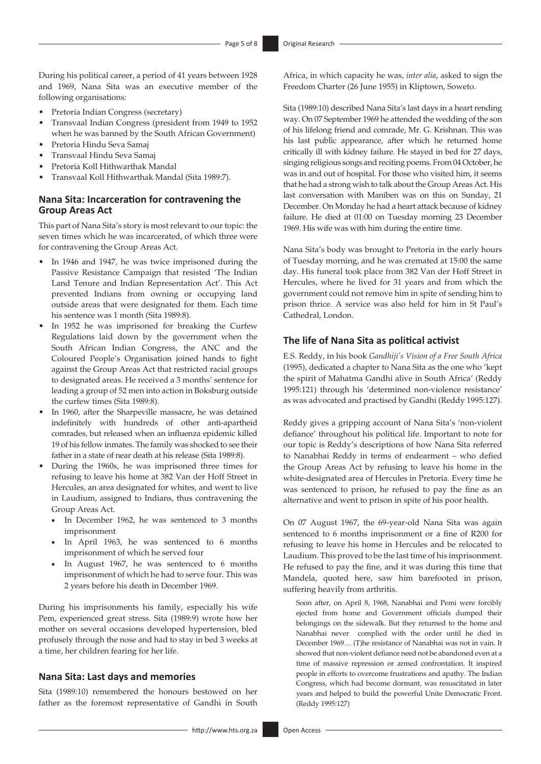During his political career, a period of 41 years between 1928 and 1969, Nana Sita was an executive member of the following organisations:

- Pretoria Indian Congress (secretary)
- Transvaal Indian Congress (president from 1949 to 1952 when he was banned by the South African Government)
- Pretoria Hindu Seva Samaj
- Transvaal Hindu Seva Samaj
- Pretoria Koll Hithwarthak Mandal
- Transvaal Koll Hithwarthak Mandal (Sita 1989:7).

## **Nana Sita: Incarceration for contravening the Group Areas Act**

This part of Nana Sita's story is most relevant to our topic: the seven times which he was incarcerated, of which three were for contravening the Group Areas Act.

- In 1946 and 1947, he was twice imprisoned during the Passive Resistance Campaign that resisted 'The Indian Land Tenure and Indian Representation Act'. This Act prevented Indians from owning or occupying land outside areas that were designated for them. Each time his sentence was 1 month (Sita 1989:8).
- In 1952 he was imprisoned for breaking the Curfew Regulations laid down by the government when the South African Indian Congress, the ANC and the Coloured People's Organisation joined hands to fight against the Group Areas Act that restricted racial groups to designated areas. He received a 3 months' sentence for leading a group of 52 men into action in Boksburg outside the curfew times (Sita 1989:8).
- In 1960, after the Sharpeville massacre, he was detained indefinitely with hundreds of other anti-apartheid comrades, but released when an influenza epidemic killed 19 of his fellow inmates. The family was shocked to see their father in a state of near death at his release (Sita 1989:8).
- During the 1960s, he was imprisoned three times for refusing to leave his home at 382 Van der Hoff Street in Hercules, an area designated for whites, and went to live in Laudium, assigned to Indians, thus contravening the Group Areas Act.
	- In December 1962, he was sentenced to 3 months imprisonment
	- In April 1963, he was sentenced to 6 months imprisonment of which he served four
	- In August 1967, he was sentenced to 6 months imprisonment of which he had to serve four. This was 2 years before his death in December 1969.

During his imprisonments his family, especially his wife Pem, experienced great stress. Sita (1989:9) wrote how her mother on several occasions developed hypertension, bled profusely through the nose and had to stay in bed 3 weeks at a time, her children fearing for her life.

#### **Nana Sita: Last days and memories**

Sita (1989:10) remembered the honours bestowed on her father as the foremost representative of Gandhi in South

Africa, in which capacity he was, *inter alia*, asked to sign the Freedom Charter (26 June 1955) in Kliptown, Soweto.

Sita (1989:10) described Nana Sita's last days in a heart rending way. On 07 September 1969 he attended the wedding of the son of his lifelong friend and comrade, Mr. G. Krishnan. This was his last public appearance, after which he returned home critically ill with kidney failure. He stayed in bed for 27 days, singing religious songs and reciting poems. From 04 October, he was in and out of hospital. For those who visited him, it seems that he had a strong wish to talk about the Group Areas Act. His last conversation with Maniben was on this on Sunday, 21 December. On Monday he had a heart attack because of kidney failure. He died at 01:00 on Tuesday morning 23 December 1969. His wife was with him during the entire time.

Nana Sita's body was brought to Pretoria in the early hours of Tuesday morning, and he was cremated at 15:00 the same day. His funeral took place from 382 Van der Hoff Street in Hercules, where he lived for 31 years and from which the government could not remove him in spite of sending him to prison thrice. A service was also held for him in St Paul's Cathedral, London.

#### **The life of Nana Sita as political activist**

E.S. Reddy, in his book *Gandhiji's Vision of a Free South Africa* (1995), dedicated a chapter to Nana Sita as the one who 'kept the spirit of Mahatma Gandhi alive in South Africa' (Reddy 1995:121) through his 'determined non-violence resistance' as was advocated and practised by Gandhi (Reddy 1995:127).

Reddy gives a gripping account of Nana Sita's 'non-violent defiance' throughout his political life. Important to note for our topic is Reddy's descriptions of how Nana Sita referred to Nanabhai Reddy in terms of endearment – who defied the Group Areas Act by refusing to leave his home in the white-designated area of Hercules in Pretoria. Every time he was sentenced to prison, he refused to pay the fine as an alternative and went to prison in spite of his poor health.

On 07 August 1967, the 69-year-old Nana Sita was again sentenced to 6 months imprisonment or a fine of R200 for refusing to leave his home in Hercules and be relocated to Laudium. This proved to be the last time of his imprisonment. He refused to pay the fine, and it was during this time that Mandela, quoted here, saw him barefooted in prison, suffering heavily from arthritis.

Soon after, on April 8, 1968, Nanabhai and Pemi were forcibly ejected from home and Government officials dumped their belongings on the sidewalk. But they returned to the home and Nanabhai never complied with the order until he died in December 1969… (T)he resistance of Nanabhai was not in vain. It showed that non-violent defiance need not be abandoned even at a time of massive repression or armed confrontation. It inspired people in efforts to overcome frustrations and apathy. The Indian Congress, which had become dormant, was resuscitated in later years and helped to build the powerful Unite Democratic Front. (Reddy 1995:127)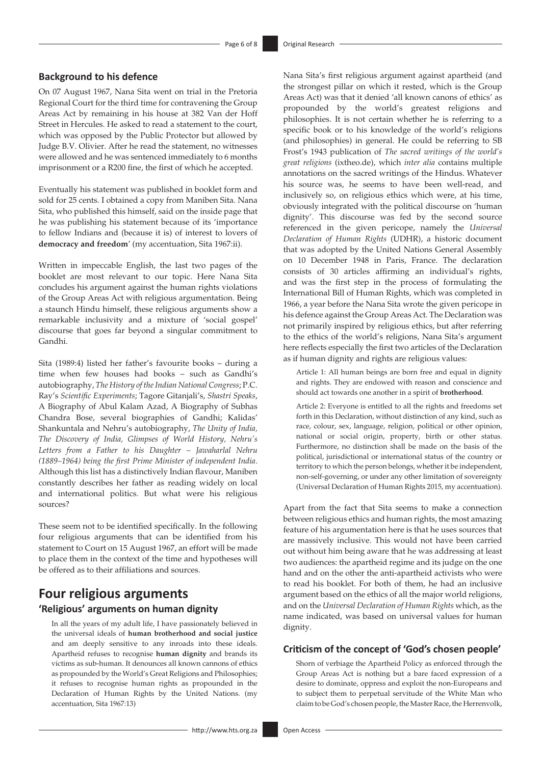#### **Background to his defence**

On 07 August 1967, Nana Sita went on trial in the Pretoria Regional Court for the third time for contravening the Group Areas Act by remaining in his house at 382 Van der Hoff Street in Hercules. He asked to read a statement to the court, which was opposed by the Public Protector but allowed by Judge B.V. Olivier. After he read the statement, no witnesses were allowed and he was sentenced immediately to 6 months imprisonment or a R200 fine, the first of which he accepted.

Eventually his statement was published in booklet form and sold for 25 cents. I obtained a copy from Maniben Sita. Nana Sita, who published this himself, said on the inside page that he was publishing his statement because of its 'importance to fellow Indians and (because it is) of interest to lovers of **democracy and freedom**' (my accentuation, Sita 1967:ii).

Written in impeccable English, the last two pages of the booklet are most relevant to our topic. Here Nana Sita concludes his argument against the human rights violations of the Group Areas Act with religious argumentation. Being a staunch Hindu himself, these religious arguments show a remarkable inclusivity and a mixture of 'social gospel' discourse that goes far beyond a singular commitment to Gandhi.

Sita (1989:4) listed her father's favourite books – during a time when few houses had books – such as Gandhi's autobiography, *The History of the Indian National Congress*; P.C. Ray's *Scientific Experiments*; Tagore Gitanjali's, *Shastri Speaks*, A Biography of Abul Kalam Azad, A Biography of Subhas Chandra Bose, several biographies of Gandhi; Kalidas' Shankuntala and Nehru's autobiography, *The Unity of India, The Discovery of India, Glimpses of World History, Nehru's Letters from a Father to his Daughter – Jawaharlal Nehru (1889–1964) being the first Prime Minister of independent India*. Although this list has a distinctively Indian flavour, Maniben constantly describes her father as reading widely on local and international politics. But what were his religious sources?

These seem not to be identified specifically. In the following four religious arguments that can be identified from his statement to Court on 15 August 1967, an effort will be made to place them in the context of the time and hypotheses will be offered as to their affiliations and sources.

# **Four religious arguments 'Religious' arguments on human dignity**

In all the years of my adult life, I have passionately believed in the universal ideals of **human brotherhood and social justice** and am deeply sensitive to any inroads into these ideals. Apartheid refuses to recognise **human dignity** and brands its victims as sub-human. It denounces all known cannons of ethics as propounded by the World's Great Religions and Philosophies; it refuses to recognise human rights as propounded in the Declaration of Human Rights by the United Nations. (my accentuation, Sita 1967:13)

Nana Sita's first religious argument against apartheid (and the strongest pillar on which it rested, which is the Group Areas Act) was that it denied 'all known canons of ethics' as propounded by the world's greatest religions and philosophies. It is not certain whether he is referring to a specific book or to his knowledge of the world's religions (and philosophies) in general. He could be referring to SB Frost's 1943 publication of *The sacred writings of the world's great religions* (ixtheo.de), which *inter alia* contains multiple annotations on the sacred writings of the Hindus. Whatever his source was, he seems to have been well-read, and inclusively so, on religious ethics which were, at his time, obviously integrated with the political discourse on 'human dignity'. This discourse was fed by the second source referenced in the given pericope, namely the *Universal Declaration of Human Rights* (UDHR), a historic document that was adopted by the United Nations General Assembly on 10 December 1948 in Paris, France. The declaration consists of 30 articles affirming an individual's rights, and was the first step in the process of formulating the International Bill of Human Rights, which was completed in 1966, a year before the Nana Sita wrote the given pericope in his defence against the Group Areas Act. The Declaration was not primarily inspired by religious ethics, but after referring to the ethics of the world's religions, Nana Sita's argument here reflects especially the first two articles of the Declaration as if human dignity and rights are religious values:

Article 1: All human beings are born free and equal in dignity and rights. They are endowed with reason and conscience and should act towards one another in a spirit of **brotherhood**.

Article 2: Everyone is entitled to all the rights and freedoms set forth in this Declaration, without distinction of any kind, such as race, colour, sex, language, religion, political or other opinion, national or social origin, property, birth or other status. Furthermore, no distinction shall be made on the basis of the political, jurisdictional or international status of the country or territory to which the person belongs, whether it be independent, non-self-governing, or under any other limitation of sovereignty (Universal Declaration of Human Rights 2015, my accentuation).

Apart from the fact that Sita seems to make a connection between religious ethics and human rights, the most amazing feature of his argumentation here is that he uses sources that are massively inclusive. This would not have been carried out without him being aware that he was addressing at least two audiences: the apartheid regime and its judge on the one hand and on the other the anti-apartheid activists who were to read his booklet. For both of them, he had an inclusive argument based on the ethics of all the major world religions, and on the *Universal Declaration of Human Rights* which, as the name indicated, was based on universal values for human dignity.

#### **Criticism of the concept of 'God's chosen people'**

Shorn of verbiage the Apartheid Policy as enforced through the Group Areas Act is nothing but a bare faced expression of a desire to dominate, oppress and exploit the non-Europeans and to subject them to perpetual servitude of the White Man who claim to be God's chosen people, the Master Race, the Herrenvolk,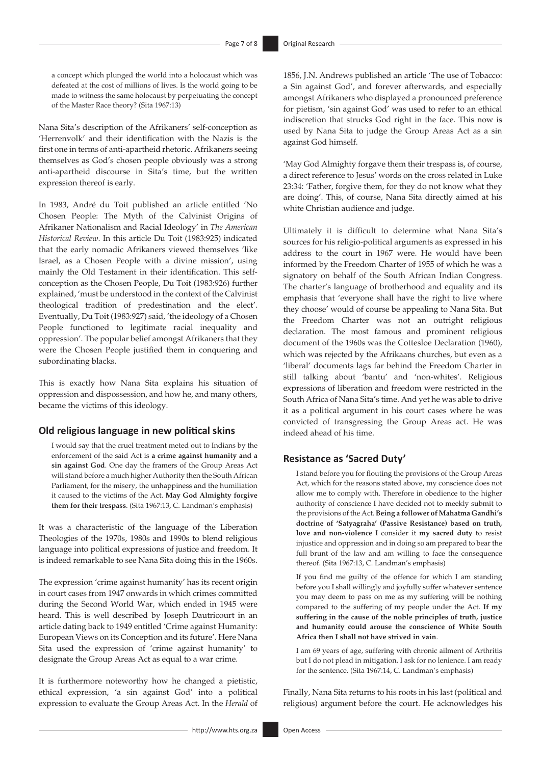a concept which plunged the world into a holocaust which was defeated at the cost of millions of lives. Is the world going to be made to witness the same holocaust by perpetuating the concept of the Master Race theory? (Sita 1967:13)

Nana Sita's description of the Afrikaners' self-conception as 'Herrenvolk' and their identification with the Nazis is the first one in terms of anti-apartheid rhetoric. Afrikaners seeing themselves as God's chosen people obviously was a strong anti-apartheid discourse in Sita's time, but the written expression thereof is early.

In 1983, André du Toit published an article entitled 'No Chosen People: The Myth of the Calvinist Origins of Afrikaner Nationalism and Racial Ideology' in *The American Historical Review*. In this article Du Toit (1983:925) indicated that the early nomadic Afrikaners viewed themselves 'like Israel, as a Chosen People with a divine mission', using mainly the Old Testament in their identification. This selfconception as the Chosen People, Du Toit (1983:926) further explained, 'must be understood in the context of the Calvinist theological tradition of predestination and the elect'. Eventually, Du Toit (1983:927) said, 'the ideology of a Chosen People functioned to legitimate racial inequality and oppression'. The popular belief amongst Afrikaners that they were the Chosen People justified them in conquering and subordinating blacks.

This is exactly how Nana Sita explains his situation of oppression and dispossession, and how he, and many others, became the victims of this ideology.

#### **Old religious language in new political skins**

I would say that the cruel treatment meted out to Indians by the enforcement of the said Act is **a crime against humanity and a sin against God**. One day the framers of the Group Areas Act will stand before a much higher Authority then the South African Parliament, for the misery, the unhappiness and the humiliation it caused to the victims of the Act. **May God Almighty forgive them for their trespass**. (Sita 1967:13, C. Landman's emphasis)

It was a characteristic of the language of the Liberation Theologies of the 1970s, 1980s and 1990s to blend religious language into political expressions of justice and freedom. It is indeed remarkable to see Nana Sita doing this in the 1960s.

The expression 'crime against humanity' has its recent origin in court cases from 1947 onwards in which crimes committed during the Second World War, which ended in 1945 were heard. This is well described by Joseph Dautricourt in an article dating back to 1949 entitled 'Crime against Humanity: European Views on its Conception and its future'. Here Nana Sita used the expression of 'crime against humanity' to designate the Group Areas Act as equal to a war crime.

It is furthermore noteworthy how he changed a pietistic, ethical expression, 'a sin against God' into a political expression to evaluate the Group Areas Act. In the *Herald* of 1856, J.N. Andrews published an article 'The use of Tobacco: a Sin against God', and forever afterwards, and especially amongst Afrikaners who displayed a pronounced preference for pietism, 'sin against God' was used to refer to an ethical indiscretion that strucks God right in the face. This now is used by Nana Sita to judge the Group Areas Act as a sin against God himself.

'May God Almighty forgave them their trespass is, of course, a direct reference to Jesus' words on the cross related in Luke 23:34: 'Father, forgive them, for they do not know what they are doing'. This, of course, Nana Sita directly aimed at his white Christian audience and judge.

Ultimately it is difficult to determine what Nana Sita's sources for his religio-political arguments as expressed in his address to the court in 1967 were. He would have been informed by the Freedom Charter of 1955 of which he was a signatory on behalf of the South African Indian Congress. The charter's language of brotherhood and equality and its emphasis that 'everyone shall have the right to live where they choose' would of course be appealing to Nana Sita. But the Freedom Charter was not an outright religious declaration. The most famous and prominent religious document of the 1960s was the Cottesloe Declaration (1960), which was rejected by the Afrikaans churches, but even as a 'liberal' documents lags far behind the Freedom Charter in still talking about 'bantu' and 'non-whites'. Religious expressions of liberation and freedom were restricted in the South Africa of Nana Sita's time. And yet he was able to drive it as a political argument in his court cases where he was convicted of transgressing the Group Areas act. He was indeed ahead of his time.

#### **Resistance as 'Sacred Duty'**

I stand before you for flouting the provisions of the Group Areas Act, which for the reasons stated above, my conscience does not allow me to comply with. Therefore in obedience to the higher authority of conscience I have decided not to meekly submit to the provisions of the Act. **Being a follower of Mahatma Gandhi's doctrine of 'Satyagraha' (Passive Resistance) based on truth, love and non-violence** I consider it **my sacred duty** to resist injustice and oppression and in doing so am prepared to bear the full brunt of the law and am willing to face the consequence thereof. (Sita 1967:13, C. Landman's emphasis)

If you find me guilty of the offence for which I am standing before you I shall willingly and joyfully suffer whatever sentence you may deem to pass on me as my suffering will be nothing compared to the suffering of my people under the Act. **If my suffering in the cause of the noble principles of truth, justice and humanity could arouse the conscience of White South Africa then I shall not have strived in vain**.

I am 69 years of age, suffering with chronic ailment of Arthritis but I do not plead in mitigation. I ask for no lenience. I am ready for the sentence. (Sita 1967:14, C. Landman's emphasis)

Finally, Nana Sita returns to his roots in his last (political and religious) argument before the court. He acknowledges his